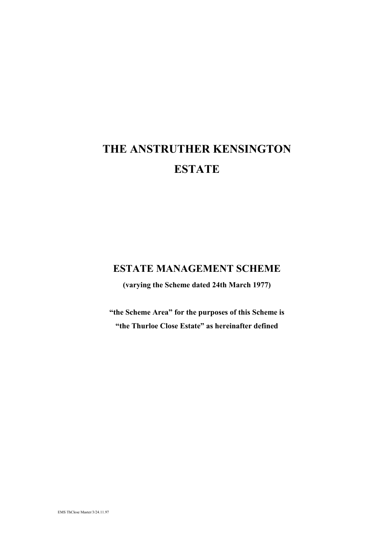# **THE ANSTRUTHER KENSINGTON ESTATE**

### **ESTATE MANAGEMENT SCHEME**

**(varying the Scheme dated 24th March 1977)** 

**"the Scheme Area" for the purposes of this Scheme is "the Thurloe Close Estate" as hereinafter defined**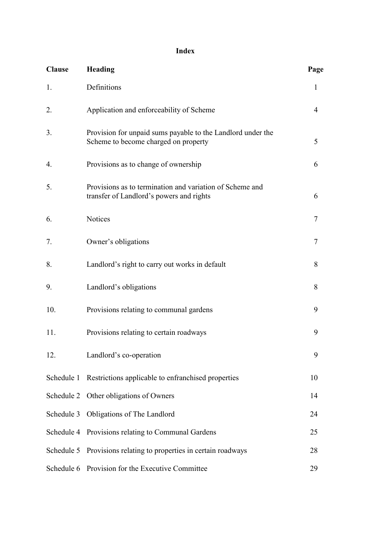### **Index**

| <b>Clause</b> | Heading                                                                                              | Page           |
|---------------|------------------------------------------------------------------------------------------------------|----------------|
| 1.            | Definitions                                                                                          | 1              |
| 2.            | Application and enforceability of Scheme                                                             | $\overline{4}$ |
| 3.            | Provision for unpaid sums payable to the Landlord under the<br>Scheme to become charged on property  | 5              |
| 4.            | Provisions as to change of ownership                                                                 | 6              |
| 5.            | Provisions as to termination and variation of Scheme and<br>transfer of Landlord's powers and rights | 6              |
| 6.            | Notices                                                                                              | 7              |
| 7.            | Owner's obligations                                                                                  | 7              |
| 8.            | Landlord's right to carry out works in default                                                       | 8              |
| 9.            | Landlord's obligations                                                                               | 8              |
| 10.           | Provisions relating to communal gardens                                                              | 9              |
| 11.           | Provisions relating to certain roadways                                                              | 9              |
| 12.           | Landlord's co-operation                                                                              | 9              |
|               | Schedule 1 Restrictions applicable to enfranchised properties                                        | 10             |
| Schedule 2    | Other obligations of Owners                                                                          | 14             |
| Schedule 3    | Obligations of The Landlord                                                                          | 24             |
|               | Schedule 4 Provisions relating to Communal Gardens                                                   | 25             |
|               | Schedule 5 Provisions relating to properties in certain roadways                                     | 28             |
| Schedule 6    | Provision for the Executive Committee                                                                | 29             |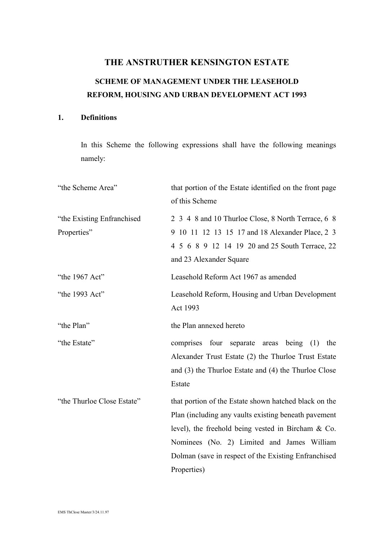## <span id="page-2-0"></span>**THE ANSTRUTHER KENSINGTON ESTATE SCHEME OF MANAGEMENT UNDER THE LEASEHOLD REFORM, HOUSING AND URBAN DEVELOPMENT ACT 1993**

### **1. Definitions**

In this Scheme the following expressions shall have the following meanings namely:

| "the Scheme Area"                         | that portion of the Estate identified on the front page<br>of this Scheme                                                                                                                                                                                                                |
|-------------------------------------------|------------------------------------------------------------------------------------------------------------------------------------------------------------------------------------------------------------------------------------------------------------------------------------------|
| "the Existing Enfranchised<br>Properties" | 2 3 4 8 and 10 Thurloe Close, 8 North Terrace, 6 8<br>9 10 11 12 13 15 17 and 18 Alexander Place, 2 3<br>4 5 6 8 9 12 14 19 20 and 25 South Terrace, 22<br>and 23 Alexander Square                                                                                                       |
| "the 1967 Act"                            | Leasehold Reform Act 1967 as amended                                                                                                                                                                                                                                                     |
| "the 1993 Act"                            | Leasehold Reform, Housing and Urban Development<br>Act 1993                                                                                                                                                                                                                              |
| "the Plan"                                | the Plan annexed hereto                                                                                                                                                                                                                                                                  |
| "the Estate"                              | comprises four separate areas being (1) the<br>Alexander Trust Estate (2) the Thurloe Trust Estate<br>and $(3)$ the Thurloe Estate and $(4)$ the Thurloe Close<br>Estate                                                                                                                 |
| "the Thurloe Close Estate"                | that portion of the Estate shown hatched black on the<br>Plan (including any vaults existing beneath pavement<br>level), the freehold being vested in Bircham & Co.<br>Nominees (No. 2) Limited and James William<br>Dolman (save in respect of the Existing Enfranchised<br>Properties) |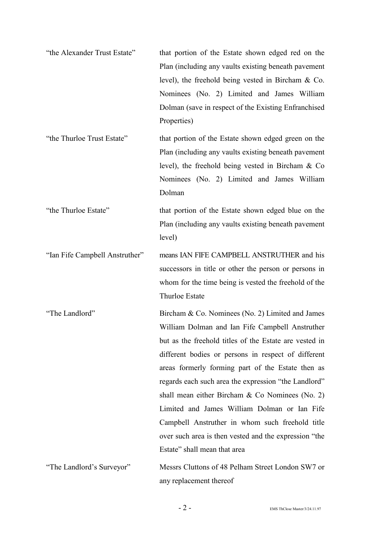| "the Alexander Trust Estate"   | that portion of the Estate shown edged red on the<br>Plan (including any vaults existing beneath pavement<br>level), the freehold being vested in Bircham & Co.<br>Nominees (No. 2) Limited and James William<br>Dolman (save in respect of the Existing Enfranchised<br>Properties)                                                                                                                                                                                                                                                                                                |
|--------------------------------|-------------------------------------------------------------------------------------------------------------------------------------------------------------------------------------------------------------------------------------------------------------------------------------------------------------------------------------------------------------------------------------------------------------------------------------------------------------------------------------------------------------------------------------------------------------------------------------|
| "the Thurloe Trust Estate"     | that portion of the Estate shown edged green on the<br>Plan (including any vaults existing beneath pavement<br>level), the freehold being vested in Bircham $\&$ Co<br>Nominees (No. 2) Limited and James William<br>Dolman                                                                                                                                                                                                                                                                                                                                                         |
| "the Thurloe Estate"           | that portion of the Estate shown edged blue on the<br>Plan (including any vaults existing beneath pavement<br>level)                                                                                                                                                                                                                                                                                                                                                                                                                                                                |
| "Ian Fife Campbell Anstruther" | means IAN FIFE CAMPBELL ANSTRUTHER and his<br>successors in title or other the person or persons in<br>whom for the time being is vested the freehold of the<br>Thurloe Estate                                                                                                                                                                                                                                                                                                                                                                                                      |
| "The Landlord"                 | Bircham & Co. Nominees (No. 2) Limited and James<br>William Dolman and Ian Fife Campbell Anstruther<br>but as the freehold titles of the Estate are vested in<br>different bodies or persons in respect of different<br>areas formerly forming part of the Estate then as<br>regards each such area the expression "the Landlord"<br>shall mean either Bircham $\&$ Co Nominees (No. 2)<br>Limited and James William Dolman or Ian Fife<br>Campbell Anstruther in whom such freehold title<br>over such area is then vested and the expression "the<br>Estate" shall mean that area |
| "The Landlord's Surveyor"      | Messrs Cluttons of 48 Pelham Street London SW7 or<br>any replacement thereof                                                                                                                                                                                                                                                                                                                                                                                                                                                                                                        |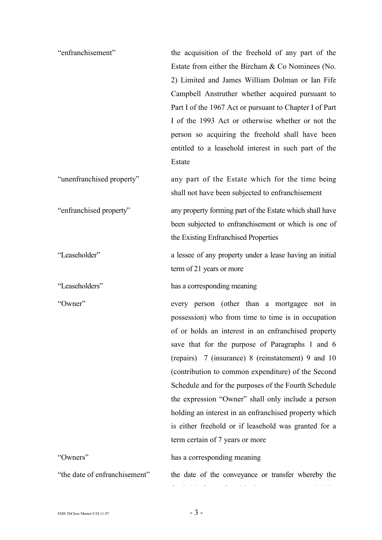| "enfranchisement"             | the acquisition of the freehold of any part of the<br>Estate from either the Bircham & Co Nominees (No.<br>2) Limited and James William Dolman or Ian Fife<br>Campbell Anstruther whether acquired pursuant to<br>Part I of the 1967 Act or pursuant to Chapter I of Part<br>I of the 1993 Act or otherwise whether or not the<br>person so acquiring the freehold shall have been<br>entitled to a leasehold interest in such part of the<br>Estate                                                                                                                                      |
|-------------------------------|-------------------------------------------------------------------------------------------------------------------------------------------------------------------------------------------------------------------------------------------------------------------------------------------------------------------------------------------------------------------------------------------------------------------------------------------------------------------------------------------------------------------------------------------------------------------------------------------|
| "unenfranchised property"     | any part of the Estate which for the time being<br>shall not have been subjected to enfranchisement                                                                                                                                                                                                                                                                                                                                                                                                                                                                                       |
| "enfranchised property"       | any property forming part of the Estate which shall have<br>been subjected to enfranchisement or which is one of<br>the Existing Enfranchised Properties                                                                                                                                                                                                                                                                                                                                                                                                                                  |
| "Leaseholder"                 | a lessee of any property under a lease having an initial<br>term of 21 years or more                                                                                                                                                                                                                                                                                                                                                                                                                                                                                                      |
| "Leaseholders"                | has a corresponding meaning                                                                                                                                                                                                                                                                                                                                                                                                                                                                                                                                                               |
| "Owner"                       | every person (other than a mortgagee not in<br>possession) who from time to time is in occupation<br>of or holds an interest in an enfranchised property<br>save that for the purpose of Paragraphs 1 and 6<br>(repairs) 7 (insurance) 8 (reinstatement) 9 and 10<br>(contribution to common expenditure) of the Second<br>Schedule and for the purposes of the Fourth Schedule<br>the expression "Owner" shall only include a person<br>holding an interest in an enfranchised property which<br>is either freehold or if leasehold was granted for a<br>term certain of 7 years or more |
| "Owners"                      | has a corresponding meaning                                                                                                                                                                                                                                                                                                                                                                                                                                                                                                                                                               |
| "the date of enfranchisement" | the date of the conveyance or transfer whereby the                                                                                                                                                                                                                                                                                                                                                                                                                                                                                                                                        |

f h ld f f hi d i d b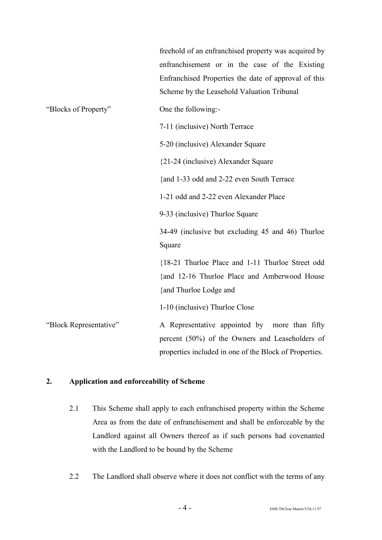<span id="page-5-0"></span>

| "Blocks of Property"                                                                                                                | freehold of an enfranchised property was acquired by<br>enfranchisement or in the case of the Existing<br>Enfranchised Properties the date of approval of this |
|-------------------------------------------------------------------------------------------------------------------------------------|----------------------------------------------------------------------------------------------------------------------------------------------------------------|
|                                                                                                                                     | Scheme by the Leasehold Valuation Tribunal                                                                                                                     |
|                                                                                                                                     | One the following:-                                                                                                                                            |
|                                                                                                                                     | 7-11 (inclusive) North Terrace                                                                                                                                 |
|                                                                                                                                     | 5-20 (inclusive) Alexander Square                                                                                                                              |
|                                                                                                                                     | {21-24 (inclusive) Alexander Square                                                                                                                            |
|                                                                                                                                     | {and 1-33 odd and 2-22 even South Terrace                                                                                                                      |
|                                                                                                                                     | 1-21 odd and 2-22 even Alexander Place                                                                                                                         |
|                                                                                                                                     | 9-33 (inclusive) Thurloe Square                                                                                                                                |
|                                                                                                                                     | 34-49 (inclusive but excluding 45 and 46) Thurloe<br>Square                                                                                                    |
|                                                                                                                                     | {18-21 Thurloe Place and 1-11 Thurloe Street odd<br>{and 12-16 Thurloe Place and Amberwood House                                                               |
|                                                                                                                                     | {and Thurloe Lodge and                                                                                                                                         |
|                                                                                                                                     | 1-10 (inclusive) Thurloe Close                                                                                                                                 |
| "Block Representative"<br>percent (50%) of the Owners and Leaseholders of<br>properties included in one of the Block of Properties. | A Representative appointed by<br>more than fifty                                                                                                               |

### **2. Application and enforceability of Scheme**

- 2.1 This Scheme shall apply to each enfranchised property within the Scheme Area as from the date of enfranchisement and shall be enforceable by the Landlord against all Owners thereof as if such persons had covenanted with the Landlord to be bound by the Scheme
- 2.2 The Landlord shall observe where it does not conflict with the terms of any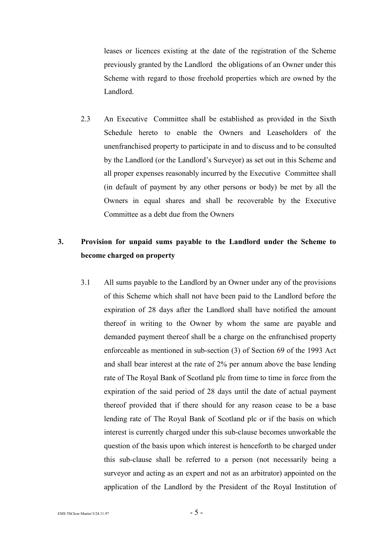<span id="page-6-0"></span>leases or licences existing at the date of the registration of the Scheme previously granted by the Landlord the obligations of an Owner under this Scheme with regard to those freehold properties which are owned by the Landlord.

2.3 An Executive Committee shall be established as provided in the Sixth Schedule hereto to enable the Owners and Leaseholders of the unenfranchised property to participate in and to discuss and to be consulted by the Landlord (or the Landlord's Surveyor) as set out in this Scheme and all proper expenses reasonably incurred by the Executive Committee shall (in default of payment by any other persons or body) be met by all the Owners in equal shares and shall be recoverable by the Executive Committee as a debt due from the Owners

### **3. Provision for unpaid sums payable to the Landlord under the Scheme to become charged on property**

3.1 All sums payable to the Landlord by an Owner under any of the provisions of this Scheme which shall not have been paid to the Landlord before the expiration of 28 days after the Landlord shall have notified the amount thereof in writing to the Owner by whom the same are payable and demanded payment thereof shall be a charge on the enfranchised property enforceable as mentioned in sub-section (3) of Section 69 of the 1993 Act and shall bear interest at the rate of 2% per annum above the base lending rate of The Royal Bank of Scotland plc from time to time in force from the expiration of the said period of 28 days until the date of actual payment thereof provided that if there should for any reason cease to be a base lending rate of The Royal Bank of Scotland plc or if the basis on which interest is currently charged under this sub-clause becomes unworkable the question of the basis upon which interest is henceforth to be charged under this sub-clause shall be referred to a person (not necessarily being a surveyor and acting as an expert and not as an arbitrator) appointed on the application of the Landlord by the President of the Royal Institution of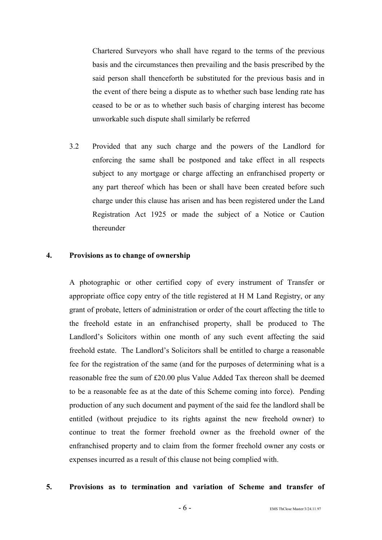<span id="page-7-0"></span>Chartered Surveyors who shall have regard to the terms of the previous basis and the circumstances then prevailing and the basis prescribed by the said person shall thenceforth be substituted for the previous basis and in the event of there being a dispute as to whether such base lending rate has ceased to be or as to whether such basis of charging interest has become unworkable such dispute shall similarly be referred

3.2 Provided that any such charge and the powers of the Landlord for enforcing the same shall be postponed and take effect in all respects subject to any mortgage or charge affecting an enfranchised property or any part thereof which has been or shall have been created before such charge under this clause has arisen and has been registered under the Land Registration Act 1925 or made the subject of a Notice or Caution thereunder

#### **4. Provisions as to change of ownership**

A photographic or other certified copy of every instrument of Transfer or appropriate office copy entry of the title registered at H M Land Registry, or any grant of probate, letters of administration or order of the court affecting the title to the freehold estate in an enfranchised property, shall be produced to The Landlord's Solicitors within one month of any such event affecting the said freehold estate. The Landlord's Solicitors shall be entitled to charge a reasonable fee for the registration of the same (and for the purposes of determining what is a reasonable free the sum of £20.00 plus Value Added Tax thereon shall be deemed to be a reasonable fee as at the date of this Scheme coming into force). Pending production of any such document and payment of the said fee the landlord shall be entitled (without prejudice to its rights against the new freehold owner) to continue to treat the former freehold owner as the freehold owner of the enfranchised property and to claim from the former freehold owner any costs or expenses incurred as a result of this clause not being complied with.

### **5. Provisions as to termination and variation of Scheme and transfer of**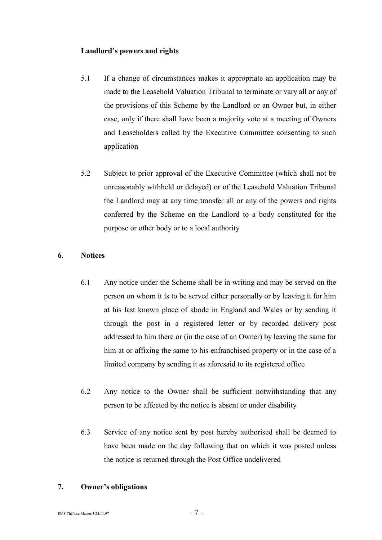### <span id="page-8-0"></span>**Landlord's powers and rights**

- 5.1 If a change of circumstances makes it appropriate an application may be made to the Leasehold Valuation Tribunal to terminate or vary all or any of the provisions of this Scheme by the Landlord or an Owner but, in either case, only if there shall have been a majority vote at a meeting of Owners and Leaseholders called by the Executive Committee consenting to such application
- 5.2 Subject to prior approval of the Executive Committee (which shall not be unreasonably withheld or delayed) or of the Leasehold Valuation Tribunal the Landlord may at any time transfer all or any of the powers and rights conferred by the Scheme on the Landlord to a body constituted for the purpose or other body or to a local authority

### **6. Notices**

- 6.1 Any notice under the Scheme shall be in writing and may be served on the person on whom it is to be served either personally or by leaving it for him at his last known place of abode in England and Wales or by sending it through the post in a registered letter or by recorded delivery post addressed to him there or (in the case of an Owner) by leaving the same for him at or affixing the same to his enfranchised property or in the case of a limited company by sending it as aforesaid to its registered office
- 6.2 Any notice to the Owner shall be sufficient notwithstanding that any person to be affected by the notice is absent or under disability
- 6.3 Service of any notice sent by post hereby authorised shall be deemed to have been made on the day following that on which it was posted unless the notice is returned through the Post Office undelivered

### **7. Owner's obligations**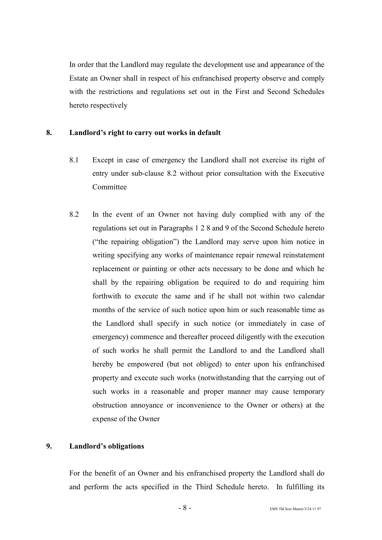<span id="page-9-0"></span>In order that the Landlord may regulate the development use and appearance of the Estate an Owner shall in respect of his enfranchised property observe and comply with the restrictions and regulations set out in the First and Second Schedules hereto respectively

### **8. Landlord's right to carry out works in default**

- 8.1 Except in case of emergency the Landlord shall not exercise its right of entry under sub-clause 8.2 without prior consultation with the Executive **Committee**
- 8.2 In the event of an Owner not having duly complied with any of the regulations set out in Paragraphs 1 2 8 and 9 of the Second Schedule hereto ("the repairing obligation") the Landlord may serve upon him notice in writing specifying any works of maintenance repair renewal reinstatement replacement or painting or other acts necessary to be done and which he shall by the repairing obligation be required to do and requiring him forthwith to execute the same and if he shall not within two calendar months of the service of such notice upon him or such reasonable time as the Landlord shall specify in such notice (or immediately in case of emergency) commence and thereafter proceed diligently with the execution of such works he shall permit the Landlord to and the Landlord shall hereby be empowered (but not obliged) to enter upon his enfranchised property and execute such works (notwithstanding that the carrying out of such works in a reasonable and proper manner may cause temporary obstruction annoyance or inconvenience to the Owner or others) at the expense of the Owner

### **9. Landlord's obligations**

For the benefit of an Owner and his enfranchised property the Landlord shall do and perform the acts specified in the Third Schedule hereto.In fulfilling its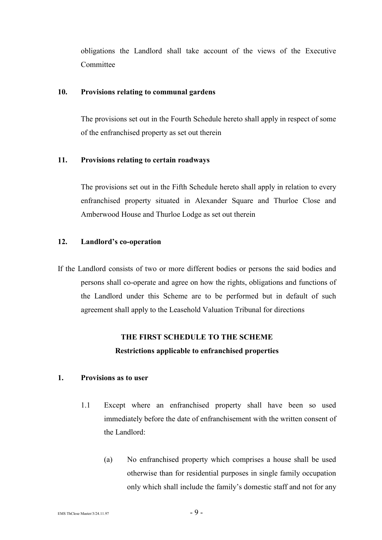<span id="page-10-0"></span>obligations the Landlord shall take account of the views of the Executive Committee

### **10. Provisions relating to communal gardens**

The provisions set out in the Fourth Schedule hereto shall apply in respect of some of the enfranchised property as set out therein

### **11. Provisions relating to certain roadways**

The provisions set out in the Fifth Schedule hereto shall apply in relation to every enfranchised property situated in Alexander Square and Thurloe Close and Amberwood House and Thurloe Lodge as set out therein

### **12. Landlord's co-operation**

If the Landlord consists of two or more different bodies or persons the said bodies and persons shall co-operate and agree on how the rights, obligations and functions of the Landlord under this Scheme are to be performed but in default of such agreement shall apply to the Leasehold Valuation Tribunal for directions

### **THE FIRST SCHEDULE TO THE SCHEME Restrictions applicable to enfranchised properties**

### **1. Provisions as to user**

- 1.1 Except where an enfranchised property shall have been so used immediately before the date of enfranchisement with the written consent of the Landlord:
	- (a) No enfranchised property which comprises a house shall be used otherwise than for residential purposes in single family occupation only which shall include the family's domestic staff and not for any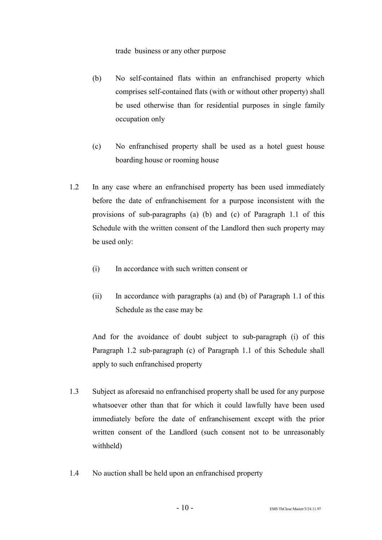#### trade business or any other purpose

- (b) No self-contained flats within an enfranchised property which comprises self-contained flats (with or without other property) shall be used otherwise than for residential purposes in single family occupation only
- (c) No enfranchised property shall be used as a hotel guest house boarding house or rooming house
- 1.2 In any case where an enfranchised property has been used immediately before the date of enfranchisement for a purpose inconsistent with the provisions of sub-paragraphs (a) (b) and (c) of Paragraph 1.1 of this Schedule with the written consent of the Landlord then such property may be used only:
	- (i) In accordance with such written consent or
	- (ii) In accordance with paragraphs (a) and (b) of Paragraph 1.1 of this Schedule as the case may be

And for the avoidance of doubt subject to sub-paragraph (i) of this Paragraph 1.2 sub-paragraph (c) of Paragraph 1.1 of this Schedule shall apply to such enfranchised property

- 1.3 Subject as aforesaid no enfranchised property shall be used for any purpose whatsoever other than that for which it could lawfully have been used immediately before the date of enfranchisement except with the prior written consent of the Landlord (such consent not to be unreasonably withheld)
- 1.4 No auction shall be held upon an enfranchised property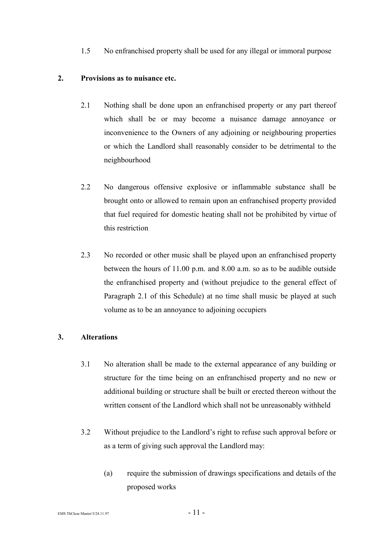1.5 No enfranchised property shall be used for any illegal or immoral purpose

### **2. Provisions as to nuisance etc.**

- 2.1 Nothing shall be done upon an enfranchised property or any part thereof which shall be or may become a nuisance damage annoyance or inconvenience to the Owners of any adjoining or neighbouring properties or which the Landlord shall reasonably consider to be detrimental to the neighbourhood
- 2.2 No dangerous offensive explosive or inflammable substance shall be brought onto or allowed to remain upon an enfranchised property provided that fuel required for domestic heating shall not be prohibited by virtue of this restriction
- 2.3 No recorded or other music shall be played upon an enfranchised property between the hours of 11.00 p.m. and 8.00 a.m. so as to be audible outside the enfranchised property and (without prejudice to the general effect of Paragraph 2.1 of this Schedule) at no time shall music be played at such volume as to be an annoyance to adjoining occupiers

### **3. Alterations**

- 3.1 No alteration shall be made to the external appearance of any building or structure for the time being on an enfranchised property and no new or additional building or structure shall be built or erected thereon without the written consent of the Landlord which shall not be unreasonably withheld
- 3.2 Without prejudice to the Landlord's right to refuse such approval before or as a term of giving such approval the Landlord may:
	- (a) require the submission of drawings specifications and details of the proposed works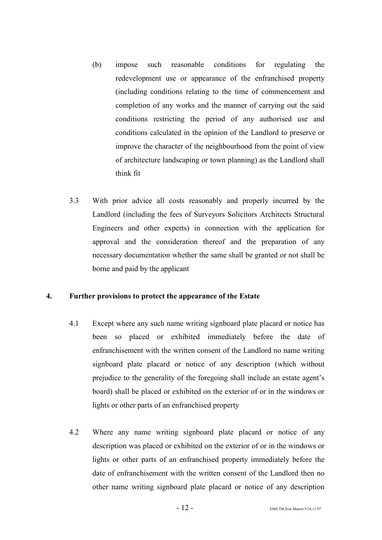- (b) impose such reasonable conditions for regulating the redevelopment use or appearance of the enfranchised property (including conditions relating to the time of commencement and completion of any works and the manner of carrying out the said conditions restricting the period of any authorised use and conditions calculated in the opinion of the Landlord to preserve or improve the character of the neighbourhood from the point of view of architecture landscaping or town planning) as the Landlord shall think fit
- 3.3 With prior advice all costs reasonably and properly incurred by the Landlord (including the fees of Surveyors Solicitors Architects Structural Engineers and other experts) in connection with the application for approval and the consideration thereof and the preparation of any necessary documentation whether the same shall be granted or not shall be borne and paid by the applicant

### **4. Further provisions to protect the appearance of the Estate**

- 4.1 Except where any such name writing signboard plate placard or notice has been so placed or exhibited immediately before the date of enfranchisement with the written consent of the Landlord no name writing signboard plate placard or notice of any description (which without prejudice to the generality of the foregoing shall include an estate agent's board) shall be placed or exhibited on the exterior of or in the windows or lights or other parts of an enfranchised property
- 4.2 Where any name writing signboard plate placard or notice of any description was placed or exhibited on the exterior of or in the windows or lights or other parts of an enfranchised property immediately before the date of enfranchisement with the written consent of the Landlord then no other name writing signboard plate placard or notice of any description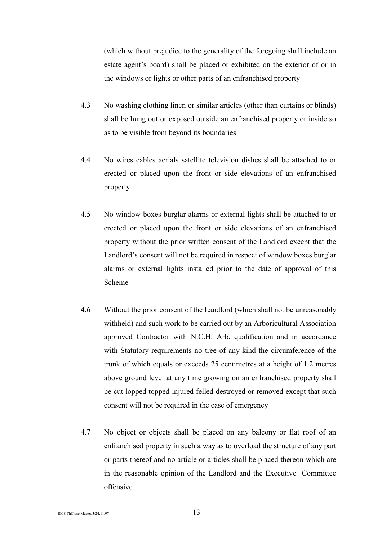(which without prejudice to the generality of the foregoing shall include an estate agent's board) shall be placed or exhibited on the exterior of or in the windows or lights or other parts of an enfranchised property

- 4.3 No washing clothing linen or similar articles (other than curtains or blinds) shall be hung out or exposed outside an enfranchised property or inside so as to be visible from beyond its boundaries
- 4.4 No wires cables aerials satellite television dishes shall be attached to or erected or placed upon the front or side elevations of an enfranchised property
- 4.5 No window boxes burglar alarms or external lights shall be attached to or erected or placed upon the front or side elevations of an enfranchised property without the prior written consent of the Landlord except that the Landlord's consent will not be required in respect of window boxes burglar alarms or external lights installed prior to the date of approval of this Scheme
- 4.6 Without the prior consent of the Landlord (which shall not be unreasonably withheld) and such work to be carried out by an Arboricultural Association approved Contractor with N.C.H. Arb. qualification and in accordance with Statutory requirements no tree of any kind the circumference of the trunk of which equals or exceeds 25 centimetres at a height of 1.2 metres above ground level at any time growing on an enfranchised property shall be cut lopped topped injured felled destroyed or removed except that such consent will not be required in the case of emergency
- 4.7 No object or objects shall be placed on any balcony or flat roof of an enfranchised property in such a way as to overload the structure of any part or parts thereof and no article or articles shall be placed thereon which are in the reasonable opinion of the Landlord and the Executive Committee offensive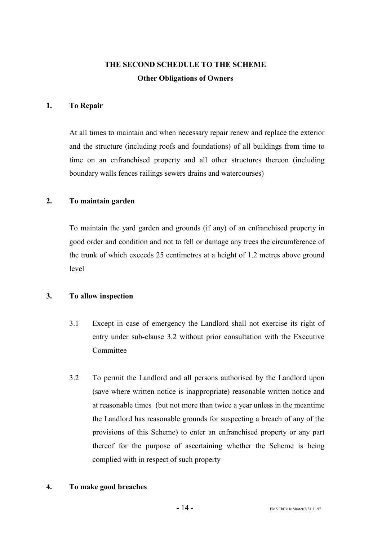### **THE SECOND SCHEDULE TO THE SCHEME Other Obligations of Owners**

### **1. To Repair**

At all times to maintain and when necessary repair renew and replace the exterior and the structure (including roofs and foundations) of all buildings from time to time on an enfranchised property and all other structures thereon (including boundary walls fences railings sewers drains and watercourses)

### **2. To maintain garden**

To maintain the yard garden and grounds (if any) of an enfranchised property in good order and condition and not to fell or damage any trees the circumference of the trunk of which exceeds 25 centimetres at a height of 1.2 metres above ground level

### **3. To allow inspection**

- 3.1 Except in case of emergency the Landlord shall not exercise its right of entry under sub-clause 3.2 without prior consultation with the Executive Committee
- 3.2 To permit the Landlord and all persons authorised by the Landlord upon (save where written notice is inappropriate) reasonable written notice and at reasonable times (but not more than twice a year unless in the meantime the Landlord has reasonable grounds for suspecting a breach of any of the provisions of this Scheme) to enter an enfranchised property or any part thereof for the purpose of ascertaining whether the Scheme is being complied with in respect of such property

### **4. To make good breaches**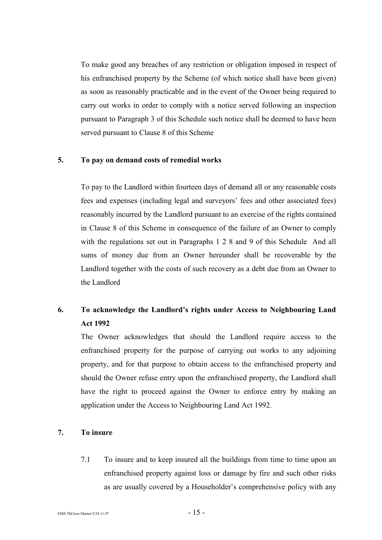To make good any breaches of any restriction or obligation imposed in respect of his enfranchised property by the Scheme (of which notice shall have been given) as soon as reasonably practicable and in the event of the Owner being required to carry out works in order to comply with a notice served following an inspection pursuant to Paragraph 3 of this Schedule such notice shall be deemed to have been served pursuant to Clause 8 of this Scheme

#### **5. To pay on demand costs of remedial works**

To pay to the Landlord within fourteen days of demand all or any reasonable costs fees and expenses (including legal and surveyors' fees and other associated fees) reasonably incurred by the Landlord pursuant to an exercise of the rights contained in Clause 8 of this Scheme in consequence of the failure of an Owner to comply with the regulations set out in Paragraphs 1 2 8 and 9 of this Schedule And all sums of money due from an Owner hereunder shall be recoverable by the Landlord together with the costs of such recovery as a debt due from an Owner to the Landlord

### **6. To acknowledge the Landlord's rights under Access to Neighbouring Land Act 1992**

The Owner acknowledges that should the Landlord require access to the enfranchised property for the purpose of carrying out works to any adjoining property, and for that purpose to obtain access to the enfranchised property and should the Owner refuse entry upon the enfranchised property, the Landlord shall have the right to proceed against the Owner to enforce entry by making an application under the Access to Neighbouring Land Act 1992.

### **7. To insure**

7.1 To insure and to keep insured all the buildings from time to time upon an enfranchised property against loss or damage by fire and such other risks as are usually covered by a Householder's comprehensive policy with any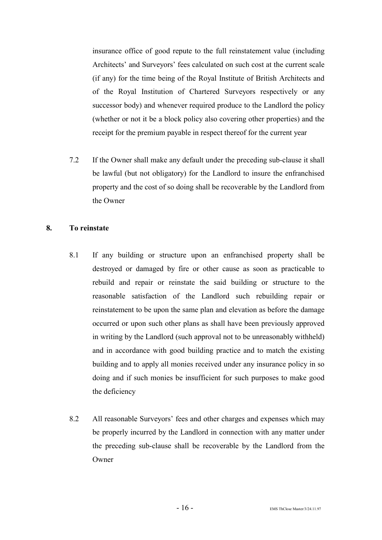insurance office of good repute to the full reinstatement value (including Architects' and Surveyors' fees calculated on such cost at the current scale (if any) for the time being of the Royal Institute of British Architects and of the Royal Institution of Chartered Surveyors respectively or any successor body) and whenever required produce to the Landlord the policy (whether or not it be a block policy also covering other properties) and the receipt for the premium payable in respect thereof for the current year

7.2 If the Owner shall make any default under the preceding sub-clause it shall be lawful (but not obligatory) for the Landlord to insure the enfranchised property and the cost of so doing shall be recoverable by the Landlord from the Owner

### **8. To reinstate**

- 8.1 If any building or structure upon an enfranchised property shall be destroyed or damaged by fire or other cause as soon as practicable to rebuild and repair or reinstate the said building or structure to the reasonable satisfaction of the Landlord such rebuilding repair or reinstatement to be upon the same plan and elevation as before the damage occurred or upon such other plans as shall have been previously approved in writing by the Landlord (such approval not to be unreasonably withheld) and in accordance with good building practice and to match the existing building and to apply all monies received under any insurance policy in so doing and if such monies be insufficient for such purposes to make good the deficiency
- 8.2 All reasonable Surveyors' fees and other charges and expenses which may be properly incurred by the Landlord in connection with any matter under the preceding sub-clause shall be recoverable by the Landlord from the **Owner**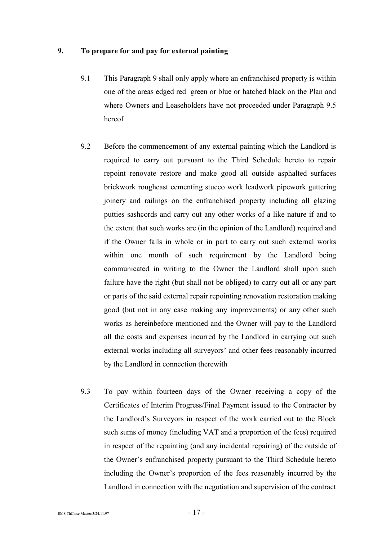#### **9. To prepare for and pay for external painting**

- 9.1 This Paragraph 9 shall only apply where an enfranchised property is within one of the areas edged red green or blue or hatched black on the Plan and where Owners and Leaseholders have not proceeded under Paragraph 9.5 hereof
- 9.2 Before the commencement of any external painting which the Landlord is required to carry out pursuant to the Third Schedule hereto to repair repoint renovate restore and make good all outside asphalted surfaces brickwork roughcast cementing stucco work leadwork pipework guttering joinery and railings on the enfranchised property including all glazing putties sashcords and carry out any other works of a like nature if and to the extent that such works are (in the opinion of the Landlord) required and if the Owner fails in whole or in part to carry out such external works within one month of such requirement by the Landlord being communicated in writing to the Owner the Landlord shall upon such failure have the right (but shall not be obliged) to carry out all or any part or parts of the said external repair repointing renovation restoration making good (but not in any case making any improvements) or any other such works as hereinbefore mentioned and the Owner will pay to the Landlord all the costs and expenses incurred by the Landlord in carrying out such external works including all surveyors' and other fees reasonably incurred by the Landlord in connection therewith
- 9.3 To pay within fourteen days of the Owner receiving a copy of the Certificates of Interim Progress/Final Payment issued to the Contractor by the Landlord's Surveyors in respect of the work carried out to the Block such sums of money (including VAT and a proportion of the fees) required in respect of the repainting (and any incidental repairing) of the outside of the Owner's enfranchised property pursuant to the Third Schedule hereto including the Owner's proportion of the fees reasonably incurred by the Landlord in connection with the negotiation and supervision of the contract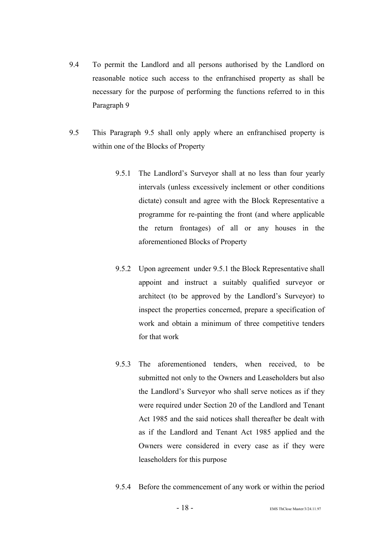- 9.4 To permit the Landlord and all persons authorised by the Landlord on reasonable notice such access to the enfranchised property as shall be necessary for the purpose of performing the functions referred to in this Paragraph 9
- 9.5 This Paragraph 9.5 shall only apply where an enfranchised property is within one of the Blocks of Property
	- 9.5.1 The Landlord's Surveyor shall at no less than four yearly intervals (unless excessively inclement or other conditions dictate) consult and agree with the Block Representative a programme for re-painting the front (and where applicable the return frontages) of all or any houses in the aforementioned Blocks of Property
	- 9.5.2 Upon agreement under 9.5.1 the Block Representative shall appoint and instruct a suitably qualified surveyor or architect (to be approved by the Landlord's Surveyor) to inspect the properties concerned, prepare a specification of work and obtain a minimum of three competitive tenders for that work
	- 9.5.3 The aforementioned tenders, when received, to be submitted not only to the Owners and Leaseholders but also the Landlord's Surveyor who shall serve notices as if they were required under Section 20 of the Landlord and Tenant Act 1985 and the said notices shall thereafter be dealt with as if the Landlord and Tenant Act 1985 applied and the Owners were considered in every case as if they were leaseholders for this purpose
	- 9.5.4 Before the commencement of any work or within the period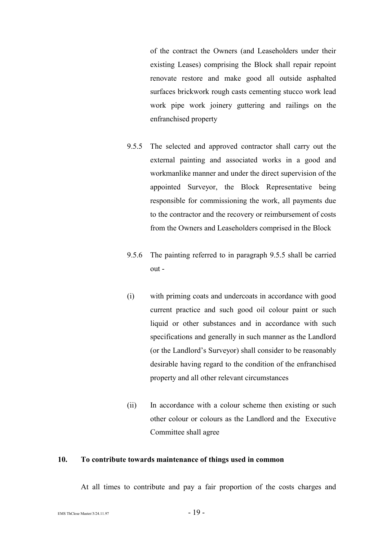of the contract the Owners (and Leaseholders under their existing Leases) comprising the Block shall repair repoint renovate restore and make good all outside asphalted surfaces brickwork rough casts cementing stucco work lead work pipe work joinery guttering and railings on the enfranchised property

- 9.5.5 The selected and approved contractor shall carry out the external painting and associated works in a good and workmanlike manner and under the direct supervision of the appointed Surveyor, the Block Representative being responsible for commissioning the work, all payments due to the contractor and the recovery or reimbursement of costs from the Owners and Leaseholders comprised in the Block
- 9.5.6 The painting referred to in paragraph 9.5.5 shall be carried out -
- (i) with priming coats and undercoats in accordance with good current practice and such good oil colour paint or such liquid or other substances and in accordance with such specifications and generally in such manner as the Landlord (or the Landlord's Surveyor) shall consider to be reasonably desirable having regard to the condition of the enfranchised property and all other relevant circumstances
- (ii) In accordance with a colour scheme then existing or such other colour or colours as the Landlord and the Executive Committee shall agree

#### **10. To contribute towards maintenance of things used in common**

At all times to contribute and pay a fair proportion of the costs charges and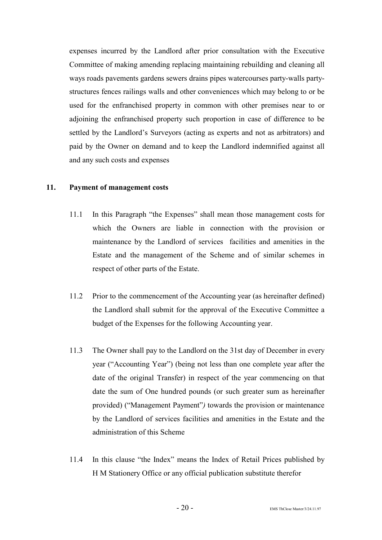expenses incurred by the Landlord after prior consultation with the Executive Committee of making amending replacing maintaining rebuilding and cleaning all ways roads pavements gardens sewers drains pipes watercourses party-walls partystructures fences railings walls and other conveniences which may belong to or be used for the enfranchised property in common with other premises near to or adjoining the enfranchised property such proportion in case of difference to be settled by the Landlord's Surveyors (acting as experts and not as arbitrators) and paid by the Owner on demand and to keep the Landlord indemnified against all and any such costs and expenses

#### **11. Payment of management costs**

- 11.1 In this Paragraph "the Expenses" shall mean those management costs for which the Owners are liable in connection with the provision or maintenance by the Landlord of services facilities and amenities in the Estate and the management of the Scheme and of similar schemes in respect of other parts of the Estate.
- 11.2 Prior to the commencement of the Accounting year (as hereinafter defined) the Landlord shall submit for the approval of the Executive Committee a budget of the Expenses for the following Accounting year.
- 11.3 The Owner shall pay to the Landlord on the 31st day of December in every year ("Accounting Year") (being not less than one complete year after the date of the original Transfer) in respect of the year commencing on that date the sum of One hundred pounds (or such greater sum as hereinafter provided) ("Management Payment"*)* towards the provision or maintenance by the Landlord of services facilities and amenities in the Estate and the administration of this Scheme
- 11.4 In this clause "the Index" means the Index of Retail Prices published by H M Stationery Office or any official publication substitute therefor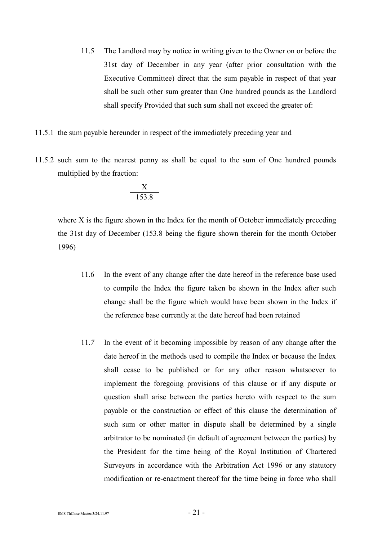- 11.5 The Landlord may by notice in writing given to the Owner on or before the 31st day of December in any year (after prior consultation with the Executive Committee) direct that the sum payable in respect of that year shall be such other sum greater than One hundred pounds as the Landlord shall specify Provided that such sum shall not exceed the greater of:
- 11.5.1 the sum payable hereunder in respect of the immediately preceding year and
- 11.5.2 such sum to the nearest penny as shall be equal to the sum of One hundred pounds multiplied by the fraction:

$$
\frac{X}{153.8}
$$

where X is the figure shown in the Index for the month of October immediately preceding the 31st day of December (153.8 being the figure shown therein for the month October 1996)

- 11.6 In the event of any change after the date hereof in the reference base used to compile the Index the figure taken be shown in the Index after such change shall be the figure which would have been shown in the Index if the reference base currently at the date hereof had been retained
- 11.*7* In the event of it becoming impossible by reason of any change after the date hereof in the methods used to compile the Index or because the Index shall cease to be published or for any other reason whatsoever to implement the foregoing provisions of this clause or if any dispute or question shall arise between the parties hereto with respect to the sum payable or the construction or effect of this clause the determination of such sum or other matter in dispute shall be determined by a single arbitrator to be nominated (in default of agreement between the parties) by the President for the time being of the Royal Institution of Chartered Surveyors in accordance with the Arbitration Act 1996 or any statutory modification or re-enactment thereof for the time being in force who shall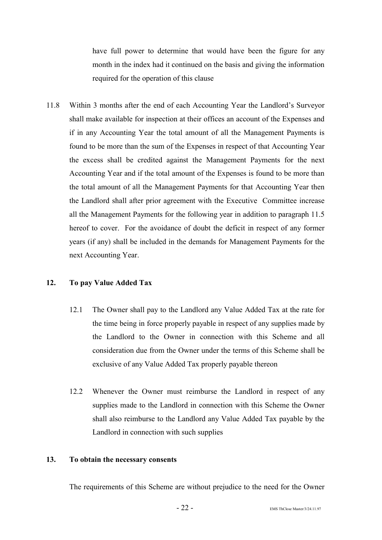have full power to determine that would have been the figure for any month in the index had it continued on the basis and giving the information required for the operation of this clause

11.8 Within 3 months after the end of each Accounting Year the Landlord's Surveyor shall make available for inspection at their offices an account of the Expenses and if in any Accounting Year the total amount of all the Management Payments is found to be more than the sum of the Expenses in respect of that Accounting Year the excess shall be credited against the Management Payments for the next Accounting Year and if the total amount of the Expenses is found to be more than the total amount of all the Management Payments for that Accounting Year then the Landlord shall after prior agreement with the Executive Committee increase all the Management Payments for the following year in addition to paragraph 11.5 hereof to cover. For the avoidance of doubt the deficit in respect of any former years (if any) shall be included in the demands for Management Payments for the next Accounting Year.

### **12. To pay Value Added Tax**

- 12.1 The Owner shall pay to the Landlord any Value Added Tax at the rate for the time being in force properly payable in respect of any supplies made by the Landlord to the Owner in connection with this Scheme and all consideration due from the Owner under the terms of this Scheme shall be exclusive of any Value Added Tax properly payable thereon
- 12.2 Whenever the Owner must reimburse the Landlord in respect of any supplies made to the Landlord in connection with this Scheme the Owner shall also reimburse to the Landlord any Value Added Tax payable by the Landlord in connection with such supplies

### **13. To obtain the necessary consents**

The requirements of this Scheme are without prejudice to the need for the Owner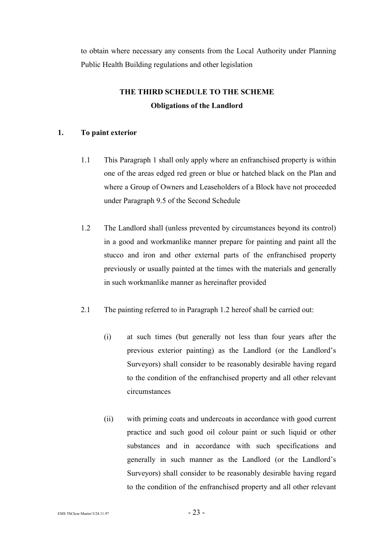to obtain where necessary any consents from the Local Authority under Planning Public Health Building regulations and other legislation

### **THE THIRD SCHEDULE TO THE SCHEME Obligations of the Landlord**

### **1. To paint exterior**

- 1.1 This Paragraph 1 shall only apply where an enfranchised property is within one of the areas edged red green or blue or hatched black on the Plan and where a Group of Owners and Leaseholders of a Block have not proceeded under Paragraph 9.5 of the Second Schedule
- 1.2 The Landlord shall (unless prevented by circumstances beyond its control) in a good and workmanlike manner prepare for painting and paint all the stucco and iron and other external parts of the enfranchised property previously or usually painted at the times with the materials and generally in such workmanlike manner as hereinafter provided
- 2.1 The painting referred to in Paragraph 1.2 hereof shall be carried out:
	- (i) at such times (but generally not less than four years after the previous exterior painting) as the Landlord (or the Landlord's Surveyors) shall consider to be reasonably desirable having regard to the condition of the enfranchised property and all other relevant circumstances
	- (ii) with priming coats and undercoats in accordance with good current practice and such good oil colour paint or such liquid or other substances and in accordance with such specifications and generally in such manner as the Landlord (or the Landlord's Surveyors) shall consider to be reasonably desirable having regard to the condition of the enfranchised property and all other relevant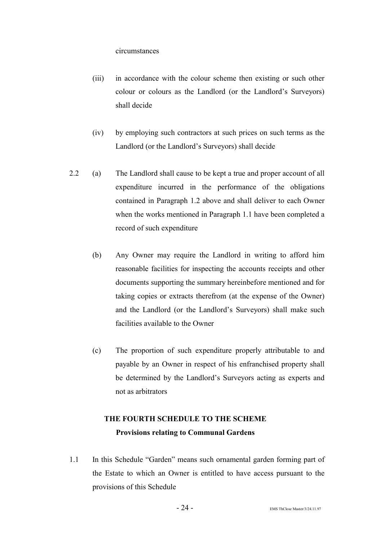#### circumstances

- (iii) in accordance with the colour scheme then existing or such other colour or colours as the Landlord (or the Landlord's Surveyors) shall decide
- (iv) by employing such contractors at such prices on such terms as the Landlord (or the Landlord's Surveyors) shall decide
- 2.2 (a) The Landlord shall cause to be kept a true and proper account of all expenditure incurred in the performance of the obligations contained in Paragraph 1.2 above and shall deliver to each Owner when the works mentioned in Paragraph 1.1 have been completed a record of such expenditure
	- (b) Any Owner may require the Landlord in writing to afford him reasonable facilities for inspecting the accounts receipts and other documents supporting the summary hereinbefore mentioned and for taking copies or extracts therefrom (at the expense of the Owner) and the Landlord (or the Landlord's Surveyors) shall make such facilities available to the Owner
	- (c) The proportion of such expenditure properly attributable to and payable by an Owner in respect of his enfranchised property shall be determined by the Landlord's Surveyors acting as experts and not as arbitrators

### **THE FOURTH SCHEDULE TO THE SCHEME Provisions relating to Communal Gardens**

1.1 In this Schedule "Garden" means such ornamental garden forming part of the Estate to which an Owner is entitled to have access pursuant to the provisions of this Schedule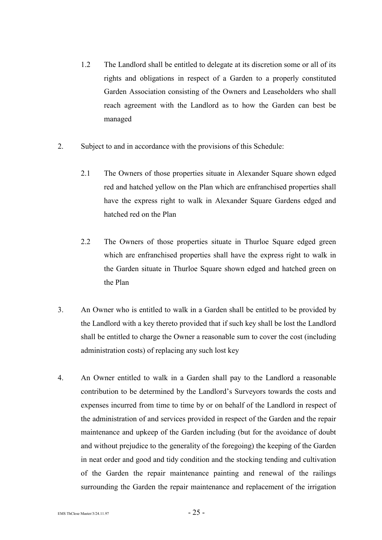- 1.2 The Landlord shall be entitled to delegate at its discretion some or all of its rights and obligations in respect of a Garden to a properly constituted Garden Association consisting of the Owners and Leaseholders who shall reach agreement with the Landlord as to how the Garden can best be managed
- 2. Subject to and in accordance with the provisions of this Schedule:
	- 2.1 The Owners of those properties situate in Alexander Square shown edged red and hatched yellow on the Plan which are enfranchised properties shall have the express right to walk in Alexander Square Gardens edged and hatched red on the Plan
	- 2.2 The Owners of those properties situate in Thurloe Square edged green which are enfranchised properties shall have the express right to walk in the Garden situate in Thurloe Square shown edged and hatched green on the Plan
- 3. An Owner who is entitled to walk in a Garden shall be entitled to be provided by the Landlord with a key thereto provided that if such key shall be lost the Landlord shall be entitled to charge the Owner a reasonable sum to cover the cost (including administration costs) of replacing any such lost key
- 4. An Owner entitled to walk in a Garden shall pay to the Landlord a reasonable contribution to be determined by the Landlord's Surveyors towards the costs and expenses incurred from time to time by or on behalf of the Landlord in respect of the administration of and services provided in respect of the Garden and the repair maintenance and upkeep of the Garden including (but for the avoidance of doubt and without prejudice to the generality of the foregoing) the keeping of the Garden in neat order and good and tidy condition and the stocking tending and cultivation of the Garden the repair maintenance painting and renewal of the railings surrounding the Garden the repair maintenance and replacement of the irrigation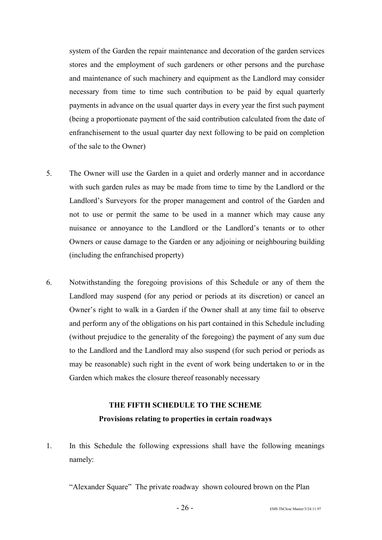system of the Garden the repair maintenance and decoration of the garden services stores and the employment of such gardeners or other persons and the purchase and maintenance of such machinery and equipment as the Landlord may consider necessary from time to time such contribution to be paid by equal quarterly payments in advance on the usual quarter days in every year the first such payment (being a proportionate payment of the said contribution calculated from the date of enfranchisement to the usual quarter day next following to be paid on completion of the sale to the Owner)

- 5. The Owner will use the Garden in a quiet and orderly manner and in accordance with such garden rules as may be made from time to time by the Landlord or the Landlord's Surveyors for the proper management and control of the Garden and not to use or permit the same to be used in a manner which may cause any nuisance or annoyance to the Landlord or the Landlord's tenants or to other Owners or cause damage to the Garden or any adjoining or neighbouring building (including the enfranchised property)
- 6. Notwithstanding the foregoing provisions of this Schedule or any of them the Landlord may suspend (for any period or periods at its discretion) or cancel an Owner's right to walk in a Garden if the Owner shall at any time fail to observe and perform any of the obligations on his part contained in this Schedule including (without prejudice to the generality of the foregoing) the payment of any sum due to the Landlord and the Landlord may also suspend (for such period or periods as may be reasonable) such right in the event of work being undertaken to or in the Garden which makes the closure thereof reasonably necessary

### **THE FIFTH SCHEDULE TO THE SCHEME Provisions relating to properties in certain roadways**

1. In this Schedule the following expressions shall have the following meanings namely:

"Alexander Square" The private roadway shown coloured brown on the Plan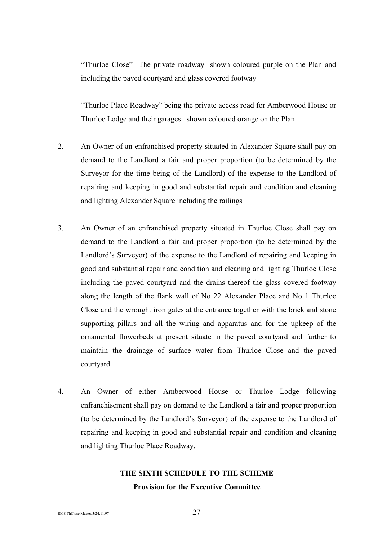"Thurloe Close" The private roadway shown coloured purple on the Plan and including the paved courtyard and glass covered footway

"Thurloe Place Roadway" being the private access road for Amberwood House or Thurloe Lodge and their garages shown coloured orange on the Plan

- 2. An Owner of an enfranchised property situated in Alexander Square shall pay on demand to the Landlord a fair and proper proportion (to be determined by the Surveyor for the time being of the Landlord) of the expense to the Landlord of repairing and keeping in good and substantial repair and condition and cleaning and lighting Alexander Square including the railings
- 3. An Owner of an enfranchised property situated in Thurloe Close shall pay on demand to the Landlord a fair and proper proportion (to be determined by the Landlord's Surveyor) of the expense to the Landlord of repairing and keeping in good and substantial repair and condition and cleaning and lighting Thurloe Close including the paved courtyard and the drains thereof the glass covered footway along the length of the flank wall of No 22 Alexander Place and No 1 Thurloe Close and the wrought iron gates at the entrance together with the brick and stone supporting pillars and all the wiring and apparatus and for the upkeep of the ornamental flowerbeds at present situate in the paved courtyard and further to maintain the drainage of surface water from Thurloe Close and the paved courtyard
- 4. An Owner of either Amberwood House or Thurloe Lodge following enfranchisement shall pay on demand to the Landlord a fair and proper proportion (to be determined by the Landlord's Surveyor) of the expense to the Landlord of repairing and keeping in good and substantial repair and condition and cleaning and lighting Thurloe Place Roadway.

### **THE SIXTH SCHEDULE TO THE SCHEME Provision for the Executive Committee**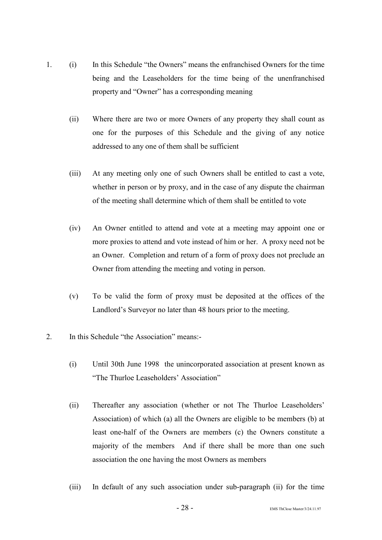- 1. (i) In this Schedule "the Owners" means the enfranchised Owners for the time being and the Leaseholders for the time being of the unenfranchised property and "Owner" has a corresponding meaning
	- (ii) Where there are two or more Owners of any property they shall count as one for the purposes of this Schedule and the giving of any notice addressed to any one of them shall be sufficient
	- (iii) At any meeting only one of such Owners shall be entitled to cast a vote, whether in person or by proxy, and in the case of any dispute the chairman of the meeting shall determine which of them shall be entitled to vote
	- (iv) An Owner entitled to attend and vote at a meeting may appoint one or more proxies to attend and vote instead of him or her. A proxy need not be an Owner. Completion and return of a form of proxy does not preclude an Owner from attending the meeting and voting in person.
	- (v) To be valid the form of proxy must be deposited at the offices of the Landlord's Surveyor no later than 48 hours prior to the meeting.
- 2. In this Schedule "the Association" means:-
	- (i) Until 30th June 1998 the unincorporated association at present known as "The Thurloe Leaseholders' Association"
	- (ii) Thereafter any association (whether or not The Thurloe Leaseholders' Association) of which (a) all the Owners are eligible to be members (b) at least one-half of the Owners are members (c) the Owners constitute a majority of the members And if there shall be more than one such association the one having the most Owners as members
	- (iii) In default of any such association under sub-paragraph (ii) for the time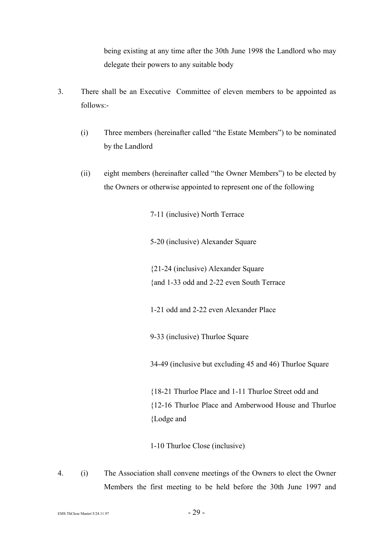being existing at any time after the 30th June 1998 the Landlord who may delegate their powers to any suitable body

- 3. There shall be an Executive Committee of eleven members to be appointed as follows:-
	- (i) Three members (hereinafter called "the Estate Members") to be nominated by the Landlord
	- (ii) eight members (hereinafter called "the Owner Members") to be elected by the Owners or otherwise appointed to represent one of the following

7-11 (inclusive) North Terrace

5-20 (inclusive) Alexander Square

{21-24 (inclusive) Alexander Square {and 1-33 odd and 2-22 even South Terrace

1-21 odd and 2-22 even Alexander Place

9-33 (inclusive) Thurloe Square

34-49 (inclusive but excluding 45 and 46) Thurloe Square

{18-21 Thurloe Place and 1-11 Thurloe Street odd and {12-16 Thurloe Place and Amberwood House and Thurloe {Lodge and

1-10 Thurloe Close (inclusive)

4. (i) The Association shall convene meetings of the Owners to elect the Owner Members the first meeting to be held before the 30th June 1997 and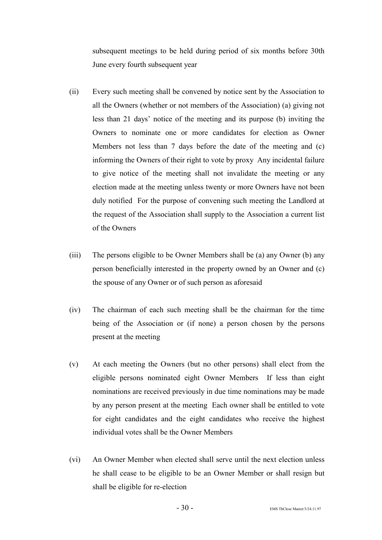subsequent meetings to be held during period of six months before 30th June every fourth subsequent year

- (ii) Every such meeting shall be convened by notice sent by the Association to all the Owners (whether or not members of the Association) (a) giving not less than 21 days' notice of the meeting and its purpose (b) inviting the Owners to nominate one or more candidates for election as Owner Members not less than 7 days before the date of the meeting and (c) informing the Owners of their right to vote by proxy Any incidental failure to give notice of the meeting shall not invalidate the meeting or any election made at the meeting unless twenty or more Owners have not been duly notified For the purpose of convening such meeting the Landlord at the request of the Association shall supply to the Association a current list of the Owners
- (iii) The persons eligible to be Owner Members shall be (a) any Owner (b) any person beneficially interested in the property owned by an Owner and (c) the spouse of any Owner or of such person as aforesaid
- (iv) The chairman of each such meeting shall be the chairman for the time being of the Association or (if none) a person chosen by the persons present at the meeting
- (v) At each meeting the Owners (but no other persons) shall elect from the eligible persons nominated eight Owner Members If less than eight nominations are received previously in due time nominations may be made by any person present at the meeting Each owner shall be entitled to vote for eight candidates and the eight candidates who receive the highest individual votes shall be the Owner Members
- (vi) An Owner Member when elected shall serve until the next election unless he shall cease to be eligible to be an Owner Member or shall resign but shall be eligible for re-election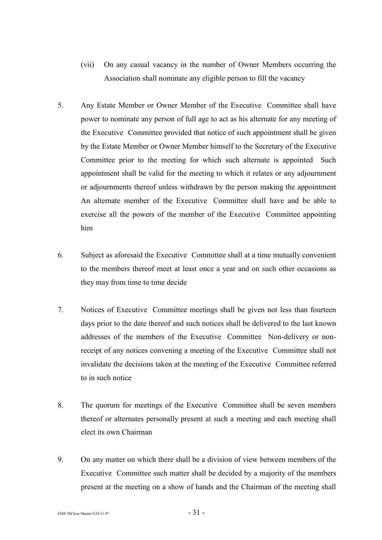- (vii) On any casual vacancy in the number of Owner Members occurring the Association shall nominate any eligible person to fill the vacancy
- 5. Any Estate Member or Owner Member of the Executive Committee shall have power to nominate any person of full age to act as his alternate for any meeting of the Executive Committee provided that notice of such appointment shall be given by the Estate Member or Owner Member himself to the Secretary of the Executive Committee prior to the meeting for which such alternate is appointed Such appointment shall be valid for the meeting to which it relates or any adjournment or adjournments thereof unless withdrawn by the person making the appointment An alternate member of the Executive Committee shall have and be able to exercise all the powers of the member of the Executive Committee appointing him
- 6. Subject as aforesaid the Executive Committee shall at a time mutually convenient to the members thereof meet at least once a year and on such other occasions as they may from time to time decide
- 7. Notices of Executive Committee meetings shall be given not less than fourteen days prior to the date thereof and such notices shall be delivered to the last known addresses of the members of the Executive Committee Non-delivery or nonreceipt of any notices convening a meeting of the Executive Committee shall not invalidate the decisions taken at the meeting of the Executive Committee referred to in such notice
- 8. The quorum for meetings of the Executive Committee shall be seven members thereof or alternates personally present at such a meeting and each meeting shall elect its own Chairman
- 9. On any matter on which there shall be a division of view between members of the Executive Committee such matter shall be decided by a majority of the members present at the meeting on a show of hands and the Chairman of the meeting shall